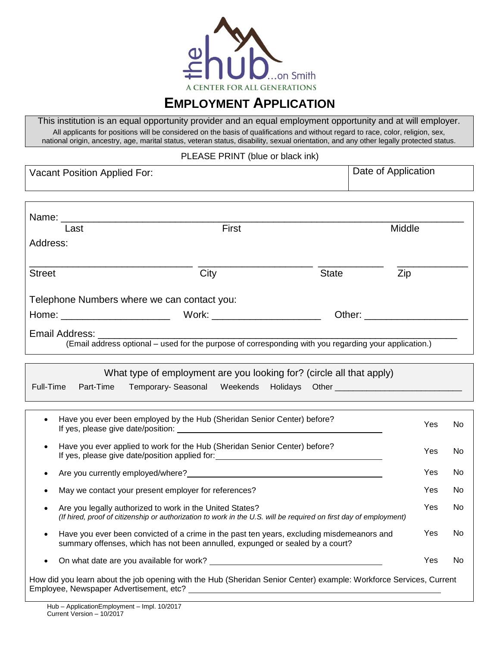

### **EMPLOYMENT APPLICATION**

This institution is an equal opportunity provider and an equal employment opportunity and at will employer. All applicants for positions will be considered on the basis of qualifications and without regard to race, color, religion, sex, national origin, ancestry, age, marital status, veteran status, disability, sexual orientation, and any other legally protected status.

PLEASE PRINT (blue or black ink)

Vacant Position Applied For: <br>
Date of Application

| Name: Name:<br>Last                                                                                                                                                                                     | First |              | Middle |  |  |
|---------------------------------------------------------------------------------------------------------------------------------------------------------------------------------------------------------|-------|--------------|--------|--|--|
| Address:                                                                                                                                                                                                |       |              |        |  |  |
| <b>Street</b>                                                                                                                                                                                           | City  | <b>State</b> | Zip    |  |  |
| Telephone Numbers where we can contact you:                                                                                                                                                             |       |              |        |  |  |
|                                                                                                                                                                                                         |       |              |        |  |  |
| Email Address:<br>(Email address optional - used for the purpose of corresponding with you regarding your application.)                                                                                 |       |              |        |  |  |
| What type of employment are you looking for? (circle all that apply)<br>Full-Time<br>Part-Time                                                                                                          |       |              |        |  |  |
| Have you ever been employed by the Hub (Sheridan Senior Center) before?<br>$\bullet$<br>Yes<br>No                                                                                                       |       |              |        |  |  |
| Have you ever applied to work for the Hub (Sheridan Senior Center) before?<br>$\bullet$<br><b>Yes</b><br>No<br>If yes, please give date/position applied for: _________________________________         |       |              |        |  |  |
| Yes<br>$\bullet$                                                                                                                                                                                        |       |              |        |  |  |
| May we contact your present employer for references?<br>$\bullet$                                                                                                                                       |       |              |        |  |  |
| Are you legally authorized to work in the United States?<br>Yes<br>No<br>$\bullet$<br>(If hired, proof of citizenship or authorization to work in the U.S. will be required on first day of employment) |       |              |        |  |  |
| Yes<br>Have you ever been convicted of a crime in the past ten years, excluding misdemeanors and<br>No<br>$\bullet$<br>summary offenses, which has not been annulled, expunged or sealed by a court?    |       |              |        |  |  |
| Yes<br>No<br>$\bullet$                                                                                                                                                                                  |       |              |        |  |  |
| How did you learn about the job opening with the Hub (Sheridan Senior Center) example: Workforce Services, Current                                                                                      |       |              |        |  |  |

Employee, Newspaper Advertisement, etc?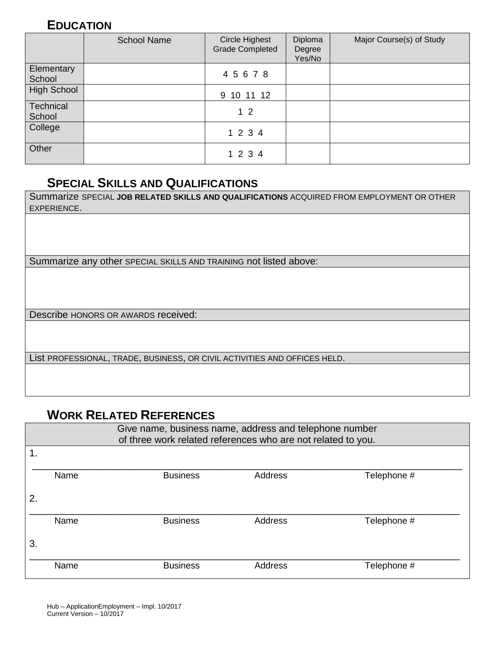#### **EDUCATION**

|                      | <b>School Name</b> | Circle Highest<br><b>Grade Completed</b> | Diploma<br>Degree<br>Yes/No | Major Course(s) of Study |
|----------------------|--------------------|------------------------------------------|-----------------------------|--------------------------|
| Elementary<br>School |                    | 45678                                    |                             |                          |
| <b>High School</b>   |                    | 9 10 11 12                               |                             |                          |
| Technical<br>School  |                    | 1 <sub>2</sub>                           |                             |                          |
| College              |                    | 1 2 3 4                                  |                             |                          |
| Other                |                    | 1 2 3 4                                  |                             |                          |

# **SPECIAL SKILLS AND QUALIFICATIONS**

| Summarize SPECIAL JOB RELATED SKILLS AND QUALIFICATIONS ACQUIRED FROM EMPLOYMENT OR OTHER<br>EXPERIENCE. |  |  |  |  |
|----------------------------------------------------------------------------------------------------------|--|--|--|--|
|                                                                                                          |  |  |  |  |
|                                                                                                          |  |  |  |  |
| Summarize any other SPECIAL SKILLS AND TRAINING not listed above:                                        |  |  |  |  |
|                                                                                                          |  |  |  |  |
| Describe HONORS OR AWARDS received:                                                                      |  |  |  |  |
|                                                                                                          |  |  |  |  |
| List PROFESSIONAL, TRADE, BUSINESS, OR CIVIL ACTIVITIES AND OFFICES HELD.                                |  |  |  |  |
|                                                                                                          |  |  |  |  |

## **WORK RELATED REFERENCES**

| Give name, business name, address and telephone number<br>of three work related references who are not related to you. |      |                 |         |             |  |
|------------------------------------------------------------------------------------------------------------------------|------|-----------------|---------|-------------|--|
|                                                                                                                        |      |                 |         |             |  |
|                                                                                                                        | Name | <b>Business</b> | Address | Telephone # |  |
| 2.                                                                                                                     |      |                 |         |             |  |
|                                                                                                                        | Name | <b>Business</b> | Address | Telephone # |  |
| 3.                                                                                                                     |      |                 |         |             |  |
|                                                                                                                        | Name | <b>Business</b> | Address | Telephone # |  |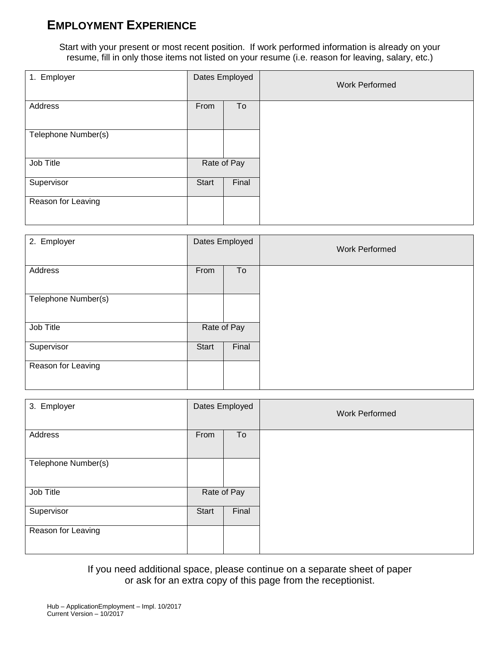## **EMPLOYMENT EXPERIENCE**

Start with your present or most recent position. If work performed information is already on your resume, fill in only those items not listed on your resume (i.e. reason for leaving, salary, etc.)

| 1. Employer         | Dates Employed |       | <b>Work Performed</b> |
|---------------------|----------------|-------|-----------------------|
| Address             | From           | To    |                       |
| Telephone Number(s) |                |       |                       |
| Job Title           | Rate of Pay    |       |                       |
| Supervisor          | <b>Start</b>   | Final |                       |
| Reason for Leaving  |                |       |                       |

| 2. Employer         | Dates Employed |       | <b>Work Performed</b> |
|---------------------|----------------|-------|-----------------------|
| Address             | From           | To    |                       |
| Telephone Number(s) |                |       |                       |
| Job Title           | Rate of Pay    |       |                       |
| Supervisor          | <b>Start</b>   | Final |                       |
| Reason for Leaving  |                |       |                       |

| 3. Employer         | Dates Employed |       | <b>Work Performed</b> |
|---------------------|----------------|-------|-----------------------|
| Address             | From           | To    |                       |
| Telephone Number(s) |                |       |                       |
| Job Title           | Rate of Pay    |       |                       |
| Supervisor          | <b>Start</b>   | Final |                       |
| Reason for Leaving  |                |       |                       |

If you need additional space, please continue on a separate sheet of paper or ask for an extra copy of this page from the receptionist.